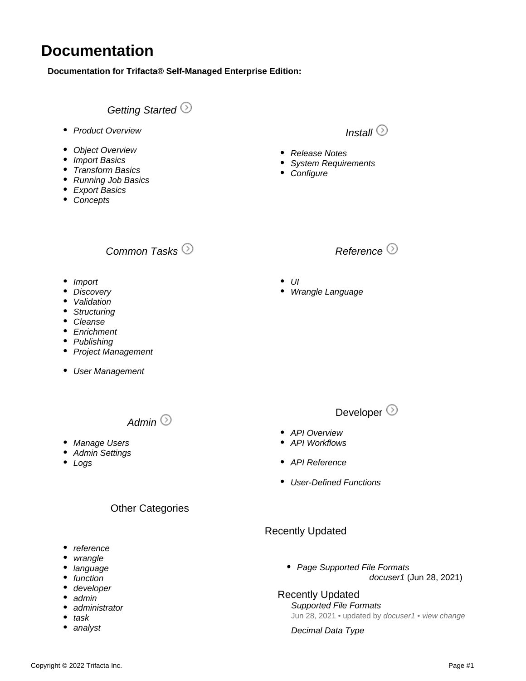# **Documentation**

**Documentation for Trifacta® Self-Managed Enterprise Edition:**

## [Getting Started](https://docs.trifacta.com/display/r071/Workflow+Basics)  $\odot$

- [Product Overview](https://docs.trifacta.com/display/r071/Product+Overview)
- [Object Overview](https://docs.trifacta.com/display/r071/Object+Overview)
- [Import Basics](https://docs.trifacta.com/display/r071/Import+Basics)
- [Transform Basics](https://docs.trifacta.com/display/r071/Transform+Basics)
- [Running Job Basics](https://docs.trifacta.com/display/r071/Running+Job+Basics)
- [Export Basics](https://docs.trifacta.com/display/r071/Export+Basics)
- [Concepts](https://docs.trifacta.com/display/r071/Concepts)

# [Common Tasks](https://docs.trifacta.com/display/r071/Common+Tasks)  $\odot$

- [Import](https://docs.trifacta.com/display/r071/Import+Tasks)
- [Discovery](https://docs.trifacta.com/display/r071/Discovery+Tasks)
- [Validation](https://docs.trifacta.com/display/r071/Validation+Tasks)
- [Structuring](https://docs.trifacta.com/display/r071/Structuring+Tasks)
- [Cleanse](https://docs.trifacta.com/display/r071/Cleanse+Tasks)
- [Enrichment](https://docs.trifacta.com/display/r071/Enrichment+Tasks)
- [Publishing](https://docs.trifacta.com/display/r071/Publishing+Tasks)
- [Project Management](https://docs.trifacta.com/display/r071/Project+Management+Tasks)
- [User Management](https://docs.trifacta.com/display/r071/User+Management+Tasks)

[Admin](https://docs.trifacta.com/display/r071/Admin)  $\odot$ 

- [Manage Users](https://docs.trifacta.com/display/r071/Manage+Users)
- [Admin Settings](https://docs.trifacta.com/display/r071/Admin+Settings+Page)
- [Logs](https://docs.trifacta.com/display/r071/System+Services+and+Logs)

#### Other Categories

- [reference](https://docs.trifacta.com/label/r050/reference)
- [wrangle](https://docs.trifacta.com/label/r050/wrangle)
- [language](https://docs.trifacta.com/label/r050/language)
- [function](https://docs.trifacta.com/label/r050/function)
- [developer](https://docs.trifacta.com/label/r050/developer)
- [admin](https://docs.trifacta.com/label/r050/admin) [administrator](https://docs.trifacta.com/label/r050/administrator)
- [task](https://docs.trifacta.com/label/r050/task)
- [analyst](https://docs.trifacta.com/label/r050/analyst)



[Install](https://docs.trifacta.com/display/r071/Install)  $\odot$ 

- $\bullet$   $\parallel$
- [Wrangle Language](https://docs.trifacta.com/display/r071/Wrangle+Language)

• [Release Notes](https://docs.trifacta.com/display/r071/Release+Notes)

• [Configure](https://docs.trifacta.com/display/r071/Configure)

• [System Requirements](https://docs.trifacta.com/display/r071/System+Requirements)

### Developer  $\odot$

- [API Overview](https://docs.trifacta.com/display/r071/API+Overview)
- [API Workflows](https://docs.trifacta.com/display/r071/API+Workflows)
- [API Reference](http://api.trifacta.com/)
- [User-Defined Functions](https://docs.trifacta.com/display/r071/User-Defined+Functions)

#### Recently Updated

[docuser1](https://docs.trifacta.com/display/~solson) (Jun 28, 2021) • [Page](https://docs.trifacta.com/display/r050/Supported+File+Formats) [Supported File Formats](https://docs.trifacta.com/display/r050/Supported+File+Formats)

### Recently Updated

[Supported File Formats](https://docs.trifacta.com/display/r050/Supported+File+Formats) Jun 28, 2021 • updated by [docuser1](https://docs.trifacta.com/display/~solson) • [view change](https://docs.trifacta.com/pages/diffpagesbyversion.action?pageId=110758031&selectedPageVersions=5&selectedPageVersions=4)

[Decimal Data Type](https://docs.trifacta.com/display/r050/Decimal+Data+Type)

[Reference](https://docs.trifacta.com/display/r071/Reference)  $\odot$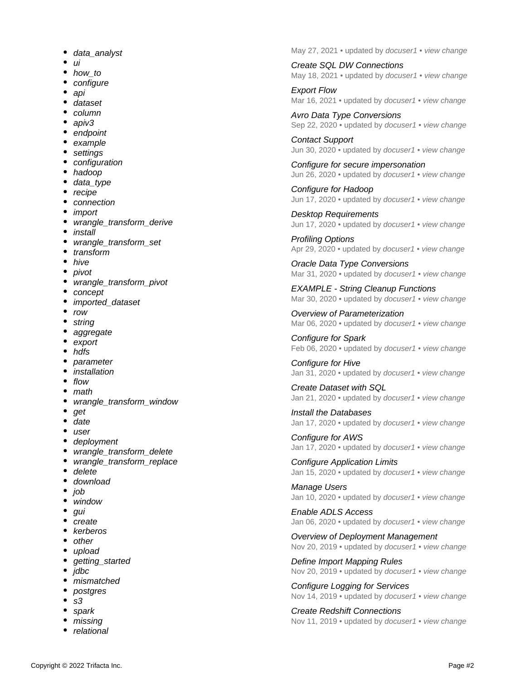- [data\\_analyst](https://docs.trifacta.com/label/r050/data_analyst)
- [ui](https://docs.trifacta.com/label/r050/ui)
- $\bullet$ [how\\_to](https://docs.trifacta.com/label/r050/how_to)
- [configure](https://docs.trifacta.com/label/r050/configure)
- [api](https://docs.trifacta.com/label/r050/api)
- [dataset](https://docs.trifacta.com/label/r050/dataset)
- [column](https://docs.trifacta.com/label/r050/column)
- [apiv3](https://docs.trifacta.com/label/r050/apiv3)
- [endpoint](https://docs.trifacta.com/label/r050/endpoint)
- [example](https://docs.trifacta.com/label/r050/example)
- [settings](https://docs.trifacta.com/label/r050/settings)
- [configuration](https://docs.trifacta.com/label/r050/configuration)
- [hadoop](https://docs.trifacta.com/label/r050/hadoop)
- [data\\_type](https://docs.trifacta.com/label/r050/data_type)
- $•$  [recipe](https://docs.trifacta.com/label/r050/recipe)
- [connection](https://docs.trifacta.com/label/r050/connection)
- [import](https://docs.trifacta.com/label/r050/import)
- [wrangle\\_transform\\_derive](https://docs.trifacta.com/label/r050/wrangle_transform_derive)
- [install](https://docs.trifacta.com/label/r050/install)
- [wrangle\\_transform\\_set](https://docs.trifacta.com/label/r050/wrangle_transform_set)
- [transform](https://docs.trifacta.com/label/r050/transform)
- $\bullet$  [hive](https://docs.trifacta.com/label/r050/hive)
- [pivot](https://docs.trifacta.com/label/r050/pivot)
- [wrangle\\_transform\\_pivot](https://docs.trifacta.com/label/r050/wrangle_transform_pivot)
- [concept](https://docs.trifacta.com/label/r050/concept)
- [imported\\_dataset](https://docs.trifacta.com/label/r050/imported_dataset)
- [row](https://docs.trifacta.com/label/r050/row)
- [string](https://docs.trifacta.com/label/r050/string)
- [aggregate](https://docs.trifacta.com/label/r050/aggregate)
- [export](https://docs.trifacta.com/label/r050/export)
- [hdfs](https://docs.trifacta.com/label/r050/hdfs)
- [parameter](https://docs.trifacta.com/label/r050/parameter)
- [installation](https://docs.trifacta.com/label/r050/installation)
- $\bullet$ [flow](https://docs.trifacta.com/label/r050/flow)
- [math](https://docs.trifacta.com/label/r050/math)
- [wrangle\\_transform\\_window](https://docs.trifacta.com/label/r050/wrangle_transform_window)
- [get](https://docs.trifacta.com/label/r050/get)
- [date](https://docs.trifacta.com/label/r050/date)
- [user](https://docs.trifacta.com/label/r050/user)
- [deployment](https://docs.trifacta.com/label/r050/deployment)
- wrangle transform delete
- [wrangle\\_transform\\_replace](https://docs.trifacta.com/label/r050/wrangle_transform_replace)
- [delete](https://docs.trifacta.com/label/r050/delete)
- $\bullet$ [download](https://docs.trifacta.com/label/r050/download)
- [job](https://docs.trifacta.com/label/r050/job)
- [window](https://docs.trifacta.com/label/r050/window)
- [gui](https://docs.trifacta.com/label/r050/gui)
- [create](https://docs.trifacta.com/label/r050/create)
- [kerberos](https://docs.trifacta.com/label/r050/kerberos)
- [other](https://docs.trifacta.com/label/r050/other)
- [upload](https://docs.trifacta.com/label/r050/upload)
- [getting\\_started](https://docs.trifacta.com/label/r050/getting_started)
- [jdbc](https://docs.trifacta.com/label/r050/jdbc)
- [mismatched](https://docs.trifacta.com/label/r050/mismatched)
- [postgres](https://docs.trifacta.com/label/r050/postgres)
- [s3](https://docs.trifacta.com/label/r050/s3)
- [spark](https://docs.trifacta.com/label/r050/spark)
- [missing](https://docs.trifacta.com/label/r050/missing)
- [relational](https://docs.trifacta.com/label/r050/relational)

May 27, 2021 • updated by [docuser1](https://docs.trifacta.com/display/~solson) • [view change](https://docs.trifacta.com/pages/diffpagesbyversion.action?pageId=110758721&selectedPageVersions=2&selectedPageVersions=1)

[Create SQL DW Connections](https://docs.trifacta.com/display/r050/Create+SQL+DW+Connections) May 18, 2021 • updated by [docuser1](https://docs.trifacta.com/display/~solson) • [view change](https://docs.trifacta.com/pages/diffpagesbyversion.action?pageId=110758116&selectedPageVersions=2&selectedPageVersions=1)

[Export Flow](https://docs.trifacta.com/display/r050/Export+Flow) Mar 16, 2021 • updated by *[docuser1](https://docs.trifacta.com/display/~solson)* • [view change](https://docs.trifacta.com/pages/diffpagesbyversion.action?pageId=110758269&selectedPageVersions=3&selectedPageVersions=2)

[Avro Data Type Conversions](https://docs.trifacta.com/display/r050/Avro+Data+Type+Conversions) Sep 22, 2020 • updated by [docuser1](https://docs.trifacta.com/display/~solson) • [view change](https://docs.trifacta.com/pages/diffpagesbyversion.action?pageId=110758737&selectedPageVersions=2&selectedPageVersions=1)

[Contact Support](https://docs.trifacta.com/display/r050/Contact+Support) Jun 30, 2020 • updated by [docuser1](https://docs.trifacta.com/display/~solson) • [view change](https://docs.trifacta.com/pages/diffpagesbyversion.action?pageId=110758840&selectedPageVersions=5&selectedPageVersions=4)

[Configure for secure impersonation](https://docs.trifacta.com/display/r050/Configure+for+secure+impersonation) Jun 26, 2020 • updated by [docuser1](https://docs.trifacta.com/display/~solson) • [view change](https://docs.trifacta.com/pages/diffpagesbyversion.action?pageId=110758088&selectedPageVersions=3&selectedPageVersions=2)

[Configure for Hadoop](https://docs.trifacta.com/display/r050/Configure+for+Hadoop) Jun 17, 2020 • updated by [docuser1](https://docs.trifacta.com/display/~solson) • [view change](https://docs.trifacta.com/pages/diffpagesbyversion.action?pageId=110758082&selectedPageVersions=5&selectedPageVersions=4)

[Desktop Requirements](https://docs.trifacta.com/display/r050/Desktop+Requirements) Jun 17, 2020 • updated by [docuser1](https://docs.trifacta.com/display/~solson) • [view change](https://docs.trifacta.com/pages/diffpagesbyversion.action?pageId=110758030&selectedPageVersions=5&selectedPageVersions=4)

[Profiling Options](https://docs.trifacta.com/display/r050/Profiling+Options) Apr 29, 2020 • updated by [docuser1](https://docs.trifacta.com/display/~solson) • [view change](https://docs.trifacta.com/pages/diffpagesbyversion.action?pageId=110758078&selectedPageVersions=2&selectedPageVersions=1)

[Oracle Data Type Conversions](https://docs.trifacta.com/display/r050/Oracle+Data+Type+Conversions) Mar 31, 2020 • updated by [docuser1](https://docs.trifacta.com/display/~solson) • [view change](https://docs.trifacta.com/pages/diffpagesbyversion.action?pageId=110758739&selectedPageVersions=4&selectedPageVersions=3)

[EXAMPLE - String Cleanup Functions](https://docs.trifacta.com/display/r050/EXAMPLE+-+String+Cleanup+Functions) Mar 30, 2020 • updated by *[docuser1](https://docs.trifacta.com/display/~solson)* • [view change](https://docs.trifacta.com/pages/diffpagesbyversion.action?pageId=110757970&selectedPageVersions=2&selectedPageVersions=1)

[Overview of Parameterization](https://docs.trifacta.com/display/r050/Overview+of+Parameterization) Mar 06, 2020 • updated by *[docuser1](https://docs.trifacta.com/display/~solson)* • [view change](https://docs.trifacta.com/pages/diffpagesbyversion.action?pageId=110758294&selectedPageVersions=6&selectedPageVersions=5)

[Configure for Spark](https://docs.trifacta.com/display/r050/Configure+for+Spark) Feb 06, 2020 • updated by [docuser1](https://docs.trifacta.com/display/~solson) • [view change](https://docs.trifacta.com/pages/diffpagesbyversion.action?pageId=110758079&selectedPageVersions=9&selectedPageVersions=8)

[Configure for Hive](https://docs.trifacta.com/display/r050/Configure+for+Hive) Jan 31, 2020 • updated by [docuser1](https://docs.trifacta.com/display/~solson) • [view change](https://docs.trifacta.com/pages/diffpagesbyversion.action?pageId=110758093&selectedPageVersions=8&selectedPageVersions=7)

[Create Dataset with SQL](https://docs.trifacta.com/display/r050/Create+Dataset+with+SQL) Jan 21, 2020 • updated by [docuser1](https://docs.trifacta.com/display/~solson) • [view change](https://docs.trifacta.com/pages/diffpagesbyversion.action?pageId=110758221&selectedPageVersions=6&selectedPageVersions=5)

[Install the Databases](https://docs.trifacta.com/display/r050/Install+the+Databases) Jan 17, 2020 • updated by [docuser1](https://docs.trifacta.com/display/~solson) • [view change](https://docs.trifacta.com/pages/diffpagesbyversion.action?pageId=110758041&selectedPageVersions=3&selectedPageVersions=2)

[Configure for AWS](https://docs.trifacta.com/display/r050/Configure+for+AWS) Jan 17, 2020 • updated by [docuser1](https://docs.trifacta.com/display/~solson) • [view change](https://docs.trifacta.com/pages/diffpagesbyversion.action?pageId=110758104&selectedPageVersions=7&selectedPageVersions=6)

[Configure Application Limits](https://docs.trifacta.com/display/r050/Configure+Application+Limits) Jan 15, 2020 • updated by [docuser1](https://docs.trifacta.com/display/~solson) • [view change](https://docs.trifacta.com/pages/diffpagesbyversion.action?pageId=110758136&selectedPageVersions=2&selectedPageVersions=1)

[Manage Users](https://docs.trifacta.com/display/r050/Manage+Users) Jan 10, 2020 • updated by [docuser1](https://docs.trifacta.com/display/~solson) • [view change](https://docs.trifacta.com/pages/diffpagesbyversion.action?pageId=110758147&selectedPageVersions=4&selectedPageVersions=3)

[Enable ADLS Access](https://docs.trifacta.com/display/r050/Enable+ADLS+Access) Jan 06, 2020 • updated by [docuser1](https://docs.trifacta.com/display/~solson) • [view change](https://docs.trifacta.com/pages/diffpagesbyversion.action?pageId=110758102&selectedPageVersions=7&selectedPageVersions=6)

[Overview of Deployment Management](https://docs.trifacta.com/display/r050/Overview+of+Deployment+Management) Nov 20, 2019 • updated by [docuser1](https://docs.trifacta.com/display/~solson) • [view change](https://docs.trifacta.com/pages/diffpagesbyversion.action?pageId=110758292&selectedPageVersions=6&selectedPageVersions=5)

[Define Import Mapping Rules](https://docs.trifacta.com/display/r050/Define+Import+Mapping+Rules) Nov 20, 2019 • updated by [docuser1](https://docs.trifacta.com/display/~solson) • [view change](https://docs.trifacta.com/pages/diffpagesbyversion.action?pageId=110758271&selectedPageVersions=2&selectedPageVersions=1)

[Configure Logging for Services](https://docs.trifacta.com/display/r050/Configure+Logging+for+Services) Nov 14, 2019 • updated by [docuser1](https://docs.trifacta.com/display/~solson) • [view change](https://docs.trifacta.com/pages/diffpagesbyversion.action?pageId=110758133&selectedPageVersions=4&selectedPageVersions=3)

[Create Redshift Connections](https://docs.trifacta.com/display/r050/Create+Redshift+Connections) Nov 11, 2019 • updated by [docuser1](https://docs.trifacta.com/display/~solson) • [view change](https://docs.trifacta.com/pages/diffpagesbyversion.action?pageId=110758119&selectedPageVersions=8&selectedPageVersions=7)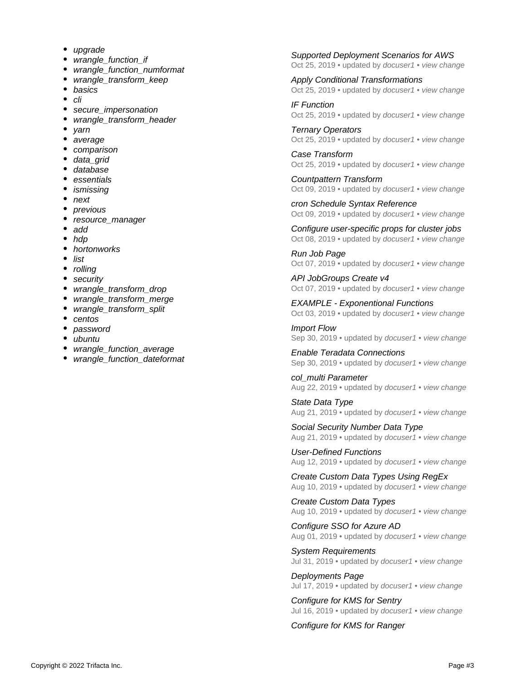- ٠ [upgrade](https://docs.trifacta.com/label/r050/upgrade)
- wrangle function if
- wrangle function numformat
- [wrangle\\_transform\\_keep](https://docs.trifacta.com/label/r050/wrangle_transform_keep)
- [basics](https://docs.trifacta.com/label/r050/basics)
- [cli](https://docs.trifacta.com/label/r050/cli)
- secure *impersonation*
- wrangle transform header
- [yarn](https://docs.trifacta.com/label/r050/yarn)
- [average](https://docs.trifacta.com/label/r050/average)
- [comparison](https://docs.trifacta.com/label/r050/comparison)
- [data\\_grid](https://docs.trifacta.com/label/r050/data_grid)
- [database](https://docs.trifacta.com/label/r050/database)
- [essentials](https://docs.trifacta.com/label/r050/essentials)
- [ismissing](https://docs.trifacta.com/label/r050/ismissing)
- [next](https://docs.trifacta.com/label/r050/next)
- [previous](https://docs.trifacta.com/label/r050/previous)
- [resource\\_manager](https://docs.trifacta.com/label/r050/resource_manager)
- [add](https://docs.trifacta.com/label/r050/add)
- [hdp](https://docs.trifacta.com/label/r050/hdp)
- [hortonworks](https://docs.trifacta.com/label/r050/hortonworks)
- $\bullet$ [list](https://docs.trifacta.com/label/r050/list)
- [rolling](https://docs.trifacta.com/label/r050/rolling)
- [security](https://docs.trifacta.com/label/r050/security)
- wrangle transform drop
- wrangle transform merge
- wrangle transform split
- [centos](https://docs.trifacta.com/label/r050/centos)
- [password](https://docs.trifacta.com/label/r050/password)
- [ubuntu](https://docs.trifacta.com/label/r050/ubuntu)
- wrangle function average
- wrangle function dateformat

#### [Supported Deployment Scenarios for AWS](https://docs.trifacta.com/display/r050/Supported+Deployment+Scenarios+for+AWS) Oct 25, 2019 • updated by [docuser1](https://docs.trifacta.com/display/~solson) • [view change](https://docs.trifacta.com/pages/diffpagesbyversion.action?pageId=110758064&selectedPageVersions=3&selectedPageVersions=2)

[Apply Conditional Transformations](https://docs.trifacta.com/display/r050/Apply+Conditional+Transformations) Oct 25, 2019 • updated by [docuser1](https://docs.trifacta.com/display/~solson) • [view change](https://docs.trifacta.com/pages/diffpagesbyversion.action?pageId=110758245&selectedPageVersions=7&selectedPageVersions=6)

[IF Function](https://docs.trifacta.com/display/r050/IF+Function) Oct 25, 2019 • updated by *[docuser1](https://docs.trifacta.com/display/~solson)* • [view change](https://docs.trifacta.com/pages/diffpagesbyversion.action?pageId=110758498&selectedPageVersions=9&selectedPageVersions=8)

[Ternary Operators](https://docs.trifacta.com/display/r050/Ternary+Operators) Oct 25, 2019 • updated by [docuser1](https://docs.trifacta.com/display/~solson) • [view change](https://docs.trifacta.com/pages/diffpagesbyversion.action?pageId=110758500&selectedPageVersions=7&selectedPageVersions=6)

[Case Transform](https://docs.trifacta.com/display/r050/Case+Transform) Oct 25, 2019 • updated by [docuser1](https://docs.trifacta.com/display/~solson) • [view change](https://docs.trifacta.com/pages/diffpagesbyversion.action?pageId=110758310&selectedPageVersions=9&selectedPageVersions=8)

[Countpattern Transform](https://docs.trifacta.com/display/r050/Countpattern+Transform) Oct 09, 2019 • updated by [docuser1](https://docs.trifacta.com/display/~solson) • [view change](https://docs.trifacta.com/pages/diffpagesbyversion.action?pageId=110758312&selectedPageVersions=4&selectedPageVersions=3)

[cron Schedule Syntax Reference](https://docs.trifacta.com/display/r050/cron+Schedule+Syntax+Reference) Oct 09, 2019 • updated by *[docuser1](https://docs.trifacta.com/display/~solson)* • [view change](https://docs.trifacta.com/pages/diffpagesbyversion.action?pageId=110758748&selectedPageVersions=3&selectedPageVersions=2)

[Configure user-specific props for cluster jobs](https://docs.trifacta.com/display/r050/Configure+user-specific+props+for+cluster+jobs) Oct 08, 2019 • updated by [docuser1](https://docs.trifacta.com/display/~solson) • [view change](https://docs.trifacta.com/pages/diffpagesbyversion.action?pageId=110758129&selectedPageVersions=3&selectedPageVersions=2)

[Run Job Page](https://docs.trifacta.com/display/r050/Run+Job+Page) Oct 07, 2019 • updated by [docuser1](https://docs.trifacta.com/display/~solson) • [view change](https://docs.trifacta.com/pages/diffpagesbyversion.action?pageId=110758699&selectedPageVersions=3&selectedPageVersions=2)

[API JobGroups Create v4](https://docs.trifacta.com/display/r050/API+JobGroups+Create+v4) Oct 07, 2019 • updated by [docuser1](https://docs.trifacta.com/display/~solson) • [view change](https://docs.trifacta.com/pages/diffpagesbyversion.action?pageId=110758769&selectedPageVersions=6&selectedPageVersions=5)

[EXAMPLE - Exponentional Functions](https://docs.trifacta.com/display/r050/EXAMPLE+-+Exponentional+Functions) Oct 03, 2019 • updated by [docuser1](https://docs.trifacta.com/display/~solson) • [view change](https://docs.trifacta.com/pages/diffpagesbyversion.action?pageId=110757942&selectedPageVersions=2&selectedPageVersions=1)

[Import Flow](https://docs.trifacta.com/display/r050/Import+Flow) Sep 30, 2019 • updated by [docuser1](https://docs.trifacta.com/display/~solson) • [view change](https://docs.trifacta.com/pages/diffpagesbyversion.action?pageId=110758270&selectedPageVersions=4&selectedPageVersions=3)

[Enable Teradata Connections](https://docs.trifacta.com/display/r050/Enable+Teradata+Connections) Sep 30, 2019 • updated by [docuser1](https://docs.trifacta.com/display/~solson) • [view change](https://docs.trifacta.com/pages/diffpagesbyversion.action?pageId=110758114&selectedPageVersions=2&selectedPageVersions=1)

[col\\_multi Parameter](https://docs.trifacta.com/display/r050/col_multi+Parameter) Aug 22, 2019 • updated by [docuser1](https://docs.trifacta.com/display/~solson) • [view change](https://docs.trifacta.com/pages/diffpagesbyversion.action?pageId=110757983&selectedPageVersions=2&selectedPageVersions=1)

[State Data Type](https://docs.trifacta.com/display/r050/State+Data+Type) Aug 21, 2019 • updated by [docuser1](https://docs.trifacta.com/display/~solson) • [view change](https://docs.trifacta.com/pages/diffpagesbyversion.action?pageId=110758729&selectedPageVersions=2&selectedPageVersions=1)

[Social Security Number Data Type](https://docs.trifacta.com/display/r050/Social+Security+Number+Data+Type) Aug 21, 2019 • updated by [docuser1](https://docs.trifacta.com/display/~solson) • [view change](https://docs.trifacta.com/pages/diffpagesbyversion.action?pageId=110758723&selectedPageVersions=2&selectedPageVersions=1)

[User-Defined Functions](https://docs.trifacta.com/display/r050/User-Defined+Functions) Aug 12, 2019 • updated by [docuser1](https://docs.trifacta.com/display/~solson) • [view change](https://docs.trifacta.com/pages/diffpagesbyversion.action?pageId=110758752&selectedPageVersions=2&selectedPageVersions=1)

[Create Custom Data Types Using RegEx](https://docs.trifacta.com/display/r050/Create+Custom+Data+Types+Using+RegEx) Aug 10, 2019 • updated by [docuser1](https://docs.trifacta.com/display/~solson) • [view change](https://docs.trifacta.com/pages/diffpagesbyversion.action?pageId=110758755&selectedPageVersions=3&selectedPageVersions=2)

[Create Custom Data Types](https://docs.trifacta.com/display/r050/Create+Custom+Data+Types) Aug 10, 2019 • updated by [docuser1](https://docs.trifacta.com/display/~solson) • [view change](https://docs.trifacta.com/pages/diffpagesbyversion.action?pageId=110758257&selectedPageVersions=2&selectedPageVersions=1)

[Configure SSO for Azure AD](https://docs.trifacta.com/display/r050/Configure+SSO+for+Azure+AD) Aug 01, 2019 • updated by [docuser1](https://docs.trifacta.com/display/~solson) • [view change](https://docs.trifacta.com/pages/diffpagesbyversion.action?pageId=110758101&selectedPageVersions=7&selectedPageVersions=6)

[System Requirements](https://docs.trifacta.com/display/r050/System+Requirements) Jul 31, 2019 • updated by [docuser1](https://docs.trifacta.com/display/~solson) • [view change](https://docs.trifacta.com/pages/diffpagesbyversion.action?pageId=110758027&selectedPageVersions=8&selectedPageVersions=7)

[Deployments Page](https://docs.trifacta.com/display/r050/Deployments+Page) Jul 17, 2019 • updated by [docuser1](https://docs.trifacta.com/display/~solson) • [view change](https://docs.trifacta.com/pages/diffpagesbyversion.action?pageId=110758153&selectedPageVersions=2&selectedPageVersions=1)

[Configure for KMS for Sentry](https://docs.trifacta.com/display/r050/Configure+for+KMS+for+Sentry) Jul 16, 2019 • updated by [docuser1](https://docs.trifacta.com/display/~solson) • [view change](https://docs.trifacta.com/pages/diffpagesbyversion.action?pageId=110758097&selectedPageVersions=2&selectedPageVersions=1)

[Configure for KMS for Ranger](https://docs.trifacta.com/display/r050/Configure+for+KMS+for+Ranger)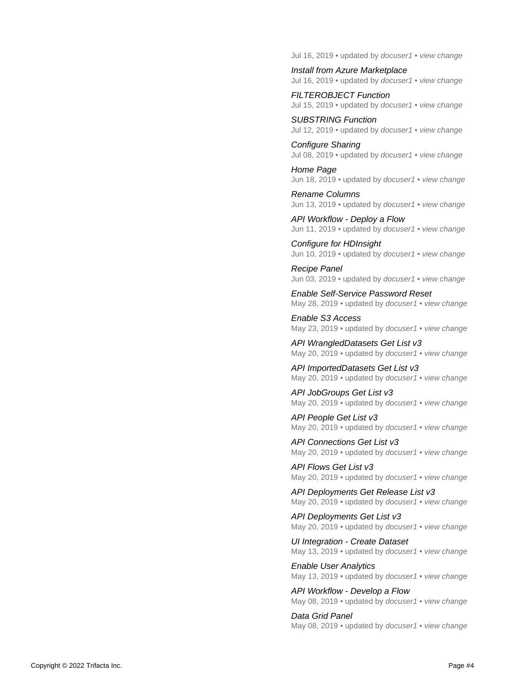Jul 16, 2019 • updated by [docuser1](https://docs.trifacta.com/display/~solson) • [view change](https://docs.trifacta.com/pages/diffpagesbyversion.action?pageId=110758098&selectedPageVersions=2&selectedPageVersions=1)

[Install from Azure Marketplace](https://docs.trifacta.com/display/r050/Install+from+Azure+Marketplace) Jul 16, 2019 • updated by [docuser1](https://docs.trifacta.com/display/~solson) • [view change](https://docs.trifacta.com/pages/diffpagesbyversion.action?pageId=110758068&selectedPageVersions=13&selectedPageVersions=12)

[FILTEROBJECT Function](https://docs.trifacta.com/display/r050/FILTEROBJECT+Function) Jul 15, 2019 • updated by [docuser1](https://docs.trifacta.com/display/~solson) • [view change](https://docs.trifacta.com/pages/diffpagesbyversion.action?pageId=110758463&selectedPageVersions=5&selectedPageVersions=4)

[SUBSTRING Function](https://docs.trifacta.com/display/r050/SUBSTRING+Function) Jul 12, 2019 • updated by [docuser1](https://docs.trifacta.com/display/~solson) • [view change](https://docs.trifacta.com/pages/diffpagesbyversion.action?pageId=110758441&selectedPageVersions=4&selectedPageVersions=3)

[Configure Sharing](https://docs.trifacta.com/display/r050/Configure+Sharing) Jul 08, 2019 • updated by [docuser1](https://docs.trifacta.com/display/~solson) • [view change](https://docs.trifacta.com/pages/diffpagesbyversion.action?pageId=110758141&selectedPageVersions=2&selectedPageVersions=1)

[Home Page](https://docs.trifacta.com/display/r050/Home+Page) Jun 18, 2019 • updated by [docuser1](https://docs.trifacta.com/display/~solson) • [view change](https://docs.trifacta.com/pages/diffpagesbyversion.action?pageId=110758524&selectedPageVersions=2&selectedPageVersions=1)

[Rename Columns](https://docs.trifacta.com/display/r050/Rename+Columns) Jun 13, 2019 • updated by [docuser1](https://docs.trifacta.com/display/~solson) • [view change](https://docs.trifacta.com/pages/diffpagesbyversion.action?pageId=110758243&selectedPageVersions=3&selectedPageVersions=2)

[API Workflow - Deploy a Flow](https://docs.trifacta.com/display/r050/API+Workflow+-+Deploy+a+Flow) Jun 11, 2019 • updated by [docuser1](https://docs.trifacta.com/display/~solson) • [view change](https://docs.trifacta.com/pages/diffpagesbyversion.action?pageId=110758828&selectedPageVersions=3&selectedPageVersions=2)

[Configure for HDInsight](https://docs.trifacta.com/display/r050/Configure+for+HDInsight) Jun 10, 2019 • updated by [docuser1](https://docs.trifacta.com/display/~solson) • [view change](https://docs.trifacta.com/pages/diffpagesbyversion.action?pageId=110758100&selectedPageVersions=5&selectedPageVersions=4)

[Recipe Panel](https://docs.trifacta.com/display/r050/Recipe+Panel) Jun 03, 2019 • updated by [docuser1](https://docs.trifacta.com/display/~solson) • [view change](https://docs.trifacta.com/pages/diffpagesbyversion.action?pageId=110758672&selectedPageVersions=4&selectedPageVersions=3)

[Enable Self-Service Password Reset](https://docs.trifacta.com/display/r050/Enable+Self-Service+Password+Reset) May 28, 2019 • updated by [docuser1](https://docs.trifacta.com/display/~solson) • [view change](https://docs.trifacta.com/pages/diffpagesbyversion.action?pageId=110758128&selectedPageVersions=2&selectedPageVersions=1)

[Enable S3 Access](https://docs.trifacta.com/display/r050/Enable+S3+Access) May 23, 2019 • updated by [docuser1](https://docs.trifacta.com/display/~solson) • [view change](https://docs.trifacta.com/pages/diffpagesbyversion.action?pageId=110758118&selectedPageVersions=9&selectedPageVersions=8)

[API WrangledDatasets Get List v3](https://docs.trifacta.com/display/r050/API+WrangledDatasets+Get+List+v3) May 20, 2019 • updated by [docuser1](https://docs.trifacta.com/display/~solson) • [view change](https://docs.trifacta.com/pages/diffpagesbyversion.action?pageId=110758818&selectedPageVersions=4&selectedPageVersions=3)

[API ImportedDatasets Get List v3](https://docs.trifacta.com/display/r050/API+ImportedDatasets+Get+List+v3) May 20, 2019 • updated by *[docuser1](https://docs.trifacta.com/display/~solson)* • [view change](https://docs.trifacta.com/pages/diffpagesbyversion.action?pageId=110758796&selectedPageVersions=4&selectedPageVersions=3)

[API JobGroups Get List v3](https://docs.trifacta.com/display/r050/API+JobGroups+Get+List+v3) May 20, 2019 • updated by [docuser1](https://docs.trifacta.com/display/~solson) • [view change](https://docs.trifacta.com/pages/diffpagesbyversion.action?pageId=110758802&selectedPageVersions=4&selectedPageVersions=3)

[API People Get List v3](https://docs.trifacta.com/display/r050/API+People+Get+List+v3) May 20, 2019 • updated by *[docuser1](https://docs.trifacta.com/display/~solson)* • *[view change](https://docs.trifacta.com/pages/diffpagesbyversion.action?pageId=110758808&selectedPageVersions=2&selectedPageVersions=1)* 

[API Connections Get List v3](https://docs.trifacta.com/display/r050/API+Connections+Get+List+v3) May 20, 2019 • updated by [docuser1](https://docs.trifacta.com/display/~solson) • [view change](https://docs.trifacta.com/pages/diffpagesbyversion.action?pageId=110758773&selectedPageVersions=4&selectedPageVersions=3)

[API Flows Get List v3](https://docs.trifacta.com/display/r050/API+Flows+Get+List+v3) May 20, 2019 • updated by [docuser1](https://docs.trifacta.com/display/~solson) • [view change](https://docs.trifacta.com/pages/diffpagesbyversion.action?pageId=110758787&selectedPageVersions=4&selectedPageVersions=3)

[API Deployments Get Release List v3](https://docs.trifacta.com/display/r050/API+Deployments+Get+Release+List+v3) May 20, 2019 • updated by [docuser1](https://docs.trifacta.com/display/~solson) • [view change](https://docs.trifacta.com/pages/diffpagesbyversion.action?pageId=110758779&selectedPageVersions=4&selectedPageVersions=3)

[API Deployments Get List v3](https://docs.trifacta.com/display/r050/API+Deployments+Get+List+v3) May 20, 2019 • updated by [docuser1](https://docs.trifacta.com/display/~solson) • [view change](https://docs.trifacta.com/pages/diffpagesbyversion.action?pageId=110758778&selectedPageVersions=4&selectedPageVersions=3)

[UI Integration - Create Dataset](https://docs.trifacta.com/display/r050/UI+Integration+-+Create+Dataset) May 13, 2019 • updated by [docuser1](https://docs.trifacta.com/display/~solson) • [view change](https://docs.trifacta.com/pages/diffpagesbyversion.action?pageId=110758825&selectedPageVersions=2&selectedPageVersions=1)

[Enable User Analytics](https://docs.trifacta.com/display/r050/Enable+User+Analytics) May 13, 2019 • updated by [docuser1](https://docs.trifacta.com/display/~solson) • [view change](https://docs.trifacta.com/pages/diffpagesbyversion.action?pageId=110758138&selectedPageVersions=4&selectedPageVersions=3)

[API Workflow - Develop a Flow](https://docs.trifacta.com/display/r050/API+Workflow+-+Develop+a+Flow) May 08, 2019 • updated by *[docuser1](https://docs.trifacta.com/display/~solson)* • [view change](https://docs.trifacta.com/pages/diffpagesbyversion.action?pageId=110758827&selectedPageVersions=4&selectedPageVersions=3)

[Data Grid Panel](https://docs.trifacta.com/display/r050/Data+Grid+Panel) May 08, 2019 • updated by [docuser1](https://docs.trifacta.com/display/~solson) • [view change](https://docs.trifacta.com/pages/diffpagesbyversion.action?pageId=110758643&selectedPageVersions=5&selectedPageVersions=4)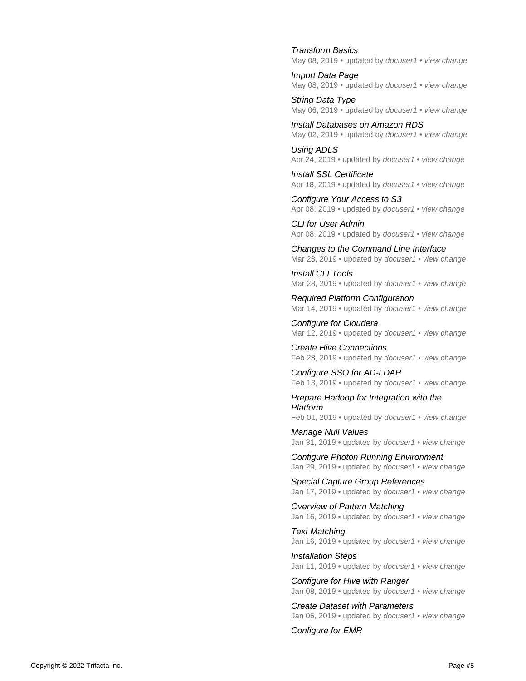#### [Transform Basics](https://docs.trifacta.com/display/r050/Transform+Basics)

May 08, 2019 • updated by [docuser1](https://docs.trifacta.com/display/~solson) • [view change](https://docs.trifacta.com/pages/diffpagesbyversion.action?pageId=110758185&selectedPageVersions=2&selectedPageVersions=1) [Import Data Page](https://docs.trifacta.com/display/r050/Import+Data+Page)

May 08, 2019 • updated by *[docuser1](https://docs.trifacta.com/display/~solson)* • [view change](https://docs.trifacta.com/pages/diffpagesbyversion.action?pageId=110758569&selectedPageVersions=3&selectedPageVersions=2)

[String Data Type](https://docs.trifacta.com/display/r050/String+Data+Type) May 06, 2019 • updated by *[docuser1](https://docs.trifacta.com/display/~solson)* • *[view change](https://docs.trifacta.com/pages/diffpagesbyversion.action?pageId=110758719&selectedPageVersions=2&selectedPageVersions=1)* 

[Install Databases on Amazon RDS](https://docs.trifacta.com/display/r050/Install+Databases+on+Amazon+RDS) May 02, 2019 • updated by [docuser1](https://docs.trifacta.com/display/~solson) • [view change](https://docs.trifacta.com/pages/diffpagesbyversion.action?pageId=110758045&selectedPageVersions=4&selectedPageVersions=3)

[Using ADLS](https://docs.trifacta.com/display/r050/Using+ADLS) Apr 24, 2019 • updated by [docuser1](https://docs.trifacta.com/display/~solson) • [view change](https://docs.trifacta.com/pages/diffpagesbyversion.action?pageId=110758307&selectedPageVersions=3&selectedPageVersions=2)

[Install SSL Certificate](https://docs.trifacta.com/display/r050/Install+SSL+Certificate) Apr 18, 2019 • updated by [docuser1](https://docs.trifacta.com/display/~solson) • [view change](https://docs.trifacta.com/pages/diffpagesbyversion.action?pageId=110758055&selectedPageVersions=4&selectedPageVersions=3)

[Configure Your Access to S3](https://docs.trifacta.com/display/r050/Configure+Your+Access+to+S3) Apr 08, 2019 • updated by *[docuser1](https://docs.trifacta.com/display/~solson)* • [view change](https://docs.trifacta.com/pages/diffpagesbyversion.action?pageId=110758275&selectedPageVersions=2&selectedPageVersions=1)

[CLI for User Admin](https://docs.trifacta.com/display/r050/CLI+for+User+Admin) Apr 08, 2019 • updated by [docuser1](https://docs.trifacta.com/display/~solson) • [view change](https://docs.trifacta.com/pages/diffpagesbyversion.action?pageId=110758762&selectedPageVersions=4&selectedPageVersions=3)

[Changes to the Command Line Interface](https://docs.trifacta.com/display/r050/Changes+to+the+Command+Line+Interface) Mar 28, 2019 • updated by [docuser1](https://docs.trifacta.com/display/~solson) • [view change](https://docs.trifacta.com/pages/diffpagesbyversion.action?pageId=110758015&selectedPageVersions=4&selectedPageVersions=3)

[Install CLI Tools](https://docs.trifacta.com/display/r050/Install+CLI+Tools) Mar 28, 2019 • updated by [docuser1](https://docs.trifacta.com/display/~solson) • [view change](https://docs.trifacta.com/pages/diffpagesbyversion.action?pageId=110758757&selectedPageVersions=4&selectedPageVersions=3)

[Required Platform Configuration](https://docs.trifacta.com/display/r050/Required+Platform+Configuration) Mar 14, 2019 • updated by *[docuser1](https://docs.trifacta.com/display/~solson)* • [view change](https://docs.trifacta.com/pages/diffpagesbyversion.action?pageId=110758071&selectedPageVersions=2&selectedPageVersions=1)

[Configure for Cloudera](https://docs.trifacta.com/display/r050/Configure+for+Cloudera) Mar 12, 2019 • updated by [docuser1](https://docs.trifacta.com/display/~solson) • [view change](https://docs.trifacta.com/pages/diffpagesbyversion.action?pageId=110758084&selectedPageVersions=2&selectedPageVersions=1)

[Create Hive Connections](https://docs.trifacta.com/display/r050/Create+Hive+Connections) Feb 28, 2019 • updated by [docuser1](https://docs.trifacta.com/display/~solson) • [view change](https://docs.trifacta.com/pages/diffpagesbyversion.action?pageId=110758121&selectedPageVersions=4&selectedPageVersions=3)

[Configure SSO for AD-LDAP](https://docs.trifacta.com/display/r050/Configure+SSO+for+AD-LDAP) Feb 13, 2019 • updated by [docuser1](https://docs.trifacta.com/display/~solson) • [view change](https://docs.trifacta.com/pages/diffpagesbyversion.action?pageId=110758109&selectedPageVersions=3&selectedPageVersions=2)

[Prepare Hadoop for Integration with the](https://docs.trifacta.com/display/r050/Prepare+Hadoop+for+Integration+with+the+Platform)  Platform

Feb 01, 2019 • updated by [docuser1](https://docs.trifacta.com/display/~solson) • [view change](https://docs.trifacta.com/pages/diffpagesbyversion.action?pageId=110758036&selectedPageVersions=2&selectedPageVersions=1)

[Manage Null Values](https://docs.trifacta.com/display/r050/Manage+Null+Values) Jan 31, 2019 • updated by [docuser1](https://docs.trifacta.com/display/~solson) • [view change](https://docs.trifacta.com/pages/diffpagesbyversion.action?pageId=110758205&selectedPageVersions=2&selectedPageVersions=1)

[Configure Photon Running Environment](https://docs.trifacta.com/display/r050/Configure+Photon+Running+Environment) Jan 29, 2019 • updated by [docuser1](https://docs.trifacta.com/display/~solson) • [view change](https://docs.trifacta.com/pages/diffpagesbyversion.action?pageId=110758076&selectedPageVersions=5&selectedPageVersions=4)

[Special Capture Group References](https://docs.trifacta.com/display/r050/Special+Capture+Group+References) Jan 17, 2019 • updated by [docuser1](https://docs.trifacta.com/display/~solson) • [view change](https://docs.trifacta.com/pages/diffpagesbyversion.action?pageId=110758516&selectedPageVersions=2&selectedPageVersions=1)

[Overview of Pattern Matching](https://docs.trifacta.com/display/r050/Overview+of+Pattern+Matching) Jan 16, 2019 • updated by [docuser1](https://docs.trifacta.com/display/~solson) • [view change](https://docs.trifacta.com/pages/diffpagesbyversion.action?pageId=110758285&selectedPageVersions=2&selectedPageVersions=1)

[Text Matching](https://docs.trifacta.com/display/r050/Text+Matching) Jan 16, 2019 • updated by [docuser1](https://docs.trifacta.com/display/~solson) • [view change](https://docs.trifacta.com/pages/diffpagesbyversion.action?pageId=110758510&selectedPageVersions=2&selectedPageVersions=1)

[Installation Steps](https://docs.trifacta.com/display/r050/Installation+Steps) Jan 11, 2019 • updated by [docuser1](https://docs.trifacta.com/display/~solson) • [view change](https://docs.trifacta.com/pages/diffpagesbyversion.action?pageId=110758037&selectedPageVersions=2&selectedPageVersions=1)

[Configure for Hive with Ranger](https://docs.trifacta.com/display/r050/Configure+for+Hive+with+Ranger) Jan 08, 2019 • updated by [docuser1](https://docs.trifacta.com/display/~solson) • [view change](https://docs.trifacta.com/pages/diffpagesbyversion.action?pageId=110758095&selectedPageVersions=2&selectedPageVersions=1)

[Create Dataset with Parameters](https://docs.trifacta.com/display/r050/Create+Dataset+with+Parameters) Jan 05, 2019 • updated by [docuser1](https://docs.trifacta.com/display/~solson) • [view change](https://docs.trifacta.com/pages/diffpagesbyversion.action?pageId=110758226&selectedPageVersions=7&selectedPageVersions=6)

[Configure for EMR](https://docs.trifacta.com/display/r050/Configure+for+EMR)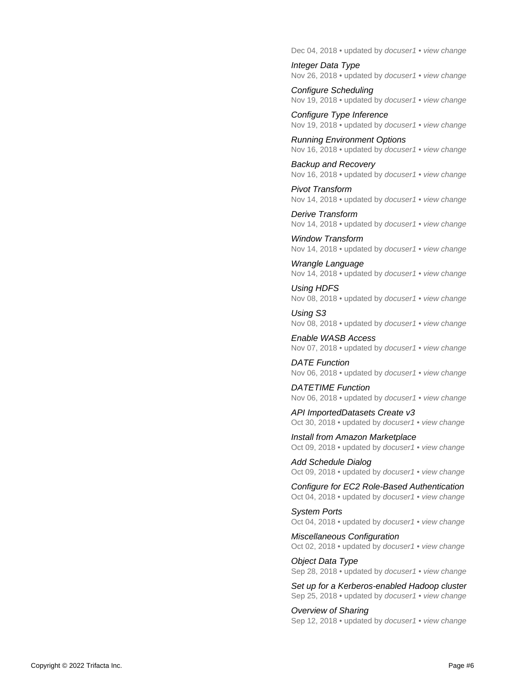Dec 04, 2018 • updated by [docuser1](https://docs.trifacta.com/display/~solson) • [view change](https://docs.trifacta.com/pages/diffpagesbyversion.action?pageId=110758105&selectedPageVersions=6&selectedPageVersions=5)

[Integer Data Type](https://docs.trifacta.com/display/r050/Integer+Data+Type) Nov 26, 2018 • updated by [docuser1](https://docs.trifacta.com/display/~solson) • [view change](https://docs.trifacta.com/pages/diffpagesbyversion.action?pageId=110758720&selectedPageVersions=2&selectedPageVersions=1)

[Configure Scheduling](https://docs.trifacta.com/display/r050/Configure+Scheduling) Nov 19, 2018 • updated by [docuser1](https://docs.trifacta.com/display/~solson) • [view change](https://docs.trifacta.com/pages/diffpagesbyversion.action?pageId=110758140&selectedPageVersions=2&selectedPageVersions=1)

[Configure Type Inference](https://docs.trifacta.com/display/r050/Configure+Type+Inference) Nov 19, 2018 • updated by *[docuser1](https://docs.trifacta.com/display/~solson)* • [view change](https://docs.trifacta.com/pages/diffpagesbyversion.action?pageId=110758123&selectedPageVersions=2&selectedPageVersions=1)

[Running Environment Options](https://docs.trifacta.com/display/r050/Running+Environment+Options) Nov 16, 2018 • updated by [docuser1](https://docs.trifacta.com/display/~solson) • [view change](https://docs.trifacta.com/pages/diffpagesbyversion.action?pageId=110758075&selectedPageVersions=5&selectedPageVersions=4)

[Backup and Recovery](https://docs.trifacta.com/display/r050/Backup+and+Recovery) Nov 16, 2018 • updated by *[docuser1](https://docs.trifacta.com/display/~solson)* • [view change](https://docs.trifacta.com/pages/diffpagesbyversion.action?pageId=110758150&selectedPageVersions=3&selectedPageVersions=2)

[Pivot Transform](https://docs.trifacta.com/display/r050/Pivot+Transform) Nov 14, 2018 • updated by [docuser1](https://docs.trifacta.com/display/~solson) • [view change](https://docs.trifacta.com/pages/diffpagesbyversion.action?pageId=110758327&selectedPageVersions=3&selectedPageVersions=2)

[Derive Transform](https://docs.trifacta.com/display/r050/Derive+Transform) Nov 14, 2018 • updated by [docuser1](https://docs.trifacta.com/display/~solson) • [view change](https://docs.trifacta.com/pages/diffpagesbyversion.action?pageId=110758315&selectedPageVersions=3&selectedPageVersions=2)

[Window Transform](https://docs.trifacta.com/display/r050/Window+Transform) Nov 14, 2018 • updated by [docuser1](https://docs.trifacta.com/display/~solson) • [view change](https://docs.trifacta.com/pages/diffpagesbyversion.action?pageId=110758340&selectedPageVersions=3&selectedPageVersions=2)

[Wrangle Language](https://docs.trifacta.com/display/r050/Wrangle+Language) Nov 14, 2018 • updated by [docuser1](https://docs.trifacta.com/display/~solson) • [view change](https://docs.trifacta.com/pages/diffpagesbyversion.action?pageId=110758308&selectedPageVersions=3&selectedPageVersions=2)

[Using HDFS](https://docs.trifacta.com/display/r050/Using+HDFS) Nov 08, 2018 • updated by [docuser1](https://docs.trifacta.com/display/~solson) • [view change](https://docs.trifacta.com/pages/diffpagesbyversion.action?pageId=110758298&selectedPageVersions=2&selectedPageVersions=1)

[Using S3](https://docs.trifacta.com/display/r050/Using+S3) Nov 08, 2018 • updated by [docuser1](https://docs.trifacta.com/display/~solson) • [view change](https://docs.trifacta.com/pages/diffpagesbyversion.action?pageId=110758303&selectedPageVersions=2&selectedPageVersions=1)

[Enable WASB Access](https://docs.trifacta.com/display/r050/Enable+WASB+Access) Nov 07, 2018 • updated by [docuser1](https://docs.trifacta.com/display/~solson) • [view change](https://docs.trifacta.com/pages/diffpagesbyversion.action?pageId=110758103&selectedPageVersions=4&selectedPageVersions=3)

[DATE Function](https://docs.trifacta.com/display/r050/DATE+Function) Nov 06, 2018 • updated by *[docuser1](https://docs.trifacta.com/display/~solson)* • *[view change](https://docs.trifacta.com/pages/diffpagesbyversion.action?pageId=110758410&selectedPageVersions=3&selectedPageVersions=2)* 

[DATETIME Function](https://docs.trifacta.com/display/r050/DATETIME+Function) Nov 06, 2018 • updated by [docuser1](https://docs.trifacta.com/display/~solson) • [view change](https://docs.trifacta.com/pages/diffpagesbyversion.action?pageId=110758412&selectedPageVersions=3&selectedPageVersions=2)

[API ImportedDatasets Create v3](https://docs.trifacta.com/display/r050/API+ImportedDatasets+Create+v3) Oct 30, 2018 • updated by *[docuser1](https://docs.trifacta.com/display/~solson)* • [view change](https://docs.trifacta.com/pages/diffpagesbyversion.action?pageId=110758794&selectedPageVersions=3&selectedPageVersions=2)

[Install from Amazon Marketplace](https://docs.trifacta.com/display/r050/Install+from+Amazon+Marketplace) Oct 09, 2018 • updated by [docuser1](https://docs.trifacta.com/display/~solson) • [view change](https://docs.trifacta.com/pages/diffpagesbyversion.action?pageId=110758067&selectedPageVersions=13&selectedPageVersions=12)

[Add Schedule Dialog](https://docs.trifacta.com/display/r050/Add+Schedule+Dialog) Oct 09, 2018 • updated by *[docuser1](https://docs.trifacta.com/display/~solson)* • [view change](https://docs.trifacta.com/pages/diffpagesbyversion.action?pageId=110758557&selectedPageVersions=2&selectedPageVersions=1)

[Configure for EC2 Role-Based Authentication](https://docs.trifacta.com/display/r050/Configure+for+EC2+Role-Based+Authentication) Oct 04, 2018 • updated by [docuser1](https://docs.trifacta.com/display/~solson) • [view change](https://docs.trifacta.com/pages/diffpagesbyversion.action?pageId=110758106&selectedPageVersions=2&selectedPageVersions=1)

[System Ports](https://docs.trifacta.com/display/r050/System+Ports) Oct 04, 2018 • updated by *[docuser1](https://docs.trifacta.com/display/~solson)* • [view change](https://docs.trifacta.com/pages/diffpagesbyversion.action?pageId=110758029&selectedPageVersions=3&selectedPageVersions=2)

[Miscellaneous Configuration](https://docs.trifacta.com/display/r050/Miscellaneous+Configuration) Oct 02, 2018 • updated by [docuser1](https://docs.trifacta.com/display/~solson) • [view change](https://docs.trifacta.com/pages/diffpagesbyversion.action?pageId=110758135&selectedPageVersions=2&selectedPageVersions=1)

[Object Data Type](https://docs.trifacta.com/display/r050/Object+Data+Type) Sep 28, 2018 • updated by [docuser1](https://docs.trifacta.com/display/~solson) • [view change](https://docs.trifacta.com/pages/diffpagesbyversion.action?pageId=110758730&selectedPageVersions=3&selectedPageVersions=2)

[Set up for a Kerberos-enabled Hadoop cluster](https://docs.trifacta.com/display/r050/Set+up+for+a+Kerberos-enabled+Hadoop+cluster) Sep 25, 2018 • updated by [docuser1](https://docs.trifacta.com/display/~solson) • [view change](https://docs.trifacta.com/pages/diffpagesbyversion.action?pageId=110758087&selectedPageVersions=2&selectedPageVersions=1)

[Overview of Sharing](https://docs.trifacta.com/display/r050/Overview+of+Sharing) Sep 12, 2018 • updated by [docuser1](https://docs.trifacta.com/display/~solson) • [view change](https://docs.trifacta.com/pages/diffpagesbyversion.action?pageId=110758291&selectedPageVersions=5&selectedPageVersions=4)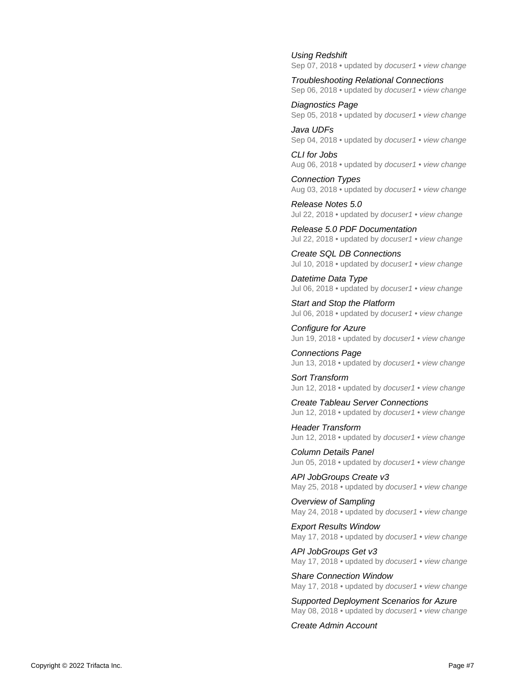[Using Redshift](https://docs.trifacta.com/display/r050/Using+Redshift) Sep 07, 2018 • updated by [docuser1](https://docs.trifacta.com/display/~solson) • [view change](https://docs.trifacta.com/pages/diffpagesbyversion.action?pageId=110758304&selectedPageVersions=4&selectedPageVersions=3)

[Troubleshooting Relational Connections](https://docs.trifacta.com/display/r050/Troubleshooting+Relational+Connections) Sep 06, 2018 • updated by [docuser1](https://docs.trifacta.com/display/~solson) • [view change](https://docs.trifacta.com/pages/diffpagesbyversion.action?pageId=110758117&selectedPageVersions=2&selectedPageVersions=1)

[Diagnostics Page](https://docs.trifacta.com/display/r050/Diagnostics+Page) Sep 05, 2018 • updated by [docuser1](https://docs.trifacta.com/display/~solson) • [view change](https://docs.trifacta.com/pages/diffpagesbyversion.action?pageId=110758157&selectedPageVersions=2&selectedPageVersions=1)

[Java UDFs](https://docs.trifacta.com/display/r050/Java+UDFs) Sep 04, 2018 • updated by [docuser1](https://docs.trifacta.com/display/~solson) • [view change](https://docs.trifacta.com/pages/diffpagesbyversion.action?pageId=110758754&selectedPageVersions=2&selectedPageVersions=1)

[CLI for Jobs](https://docs.trifacta.com/display/r050/CLI+for+Jobs) Aug 06, 2018 • updated by [docuser1](https://docs.trifacta.com/display/~solson) • [view change](https://docs.trifacta.com/pages/diffpagesbyversion.action?pageId=110758759&selectedPageVersions=4&selectedPageVersions=3)

[Connection Types](https://docs.trifacta.com/display/r050/Connection+Types) Aug 03, 2018 • updated by [docuser1](https://docs.trifacta.com/display/~solson) • [view change](https://docs.trifacta.com/pages/diffpagesbyversion.action?pageId=110758110&selectedPageVersions=3&selectedPageVersions=2)

[Release Notes 5.0](https://docs.trifacta.com/display/r050/Release+Notes+5.0) Jul 22, 2018 • updated by [docuser1](https://docs.trifacta.com/display/~solson) • [view change](https://docs.trifacta.com/pages/diffpagesbyversion.action?pageId=110758012&selectedPageVersions=5&selectedPageVersions=4)

[Release 5.0 PDF Documentation](https://docs.trifacta.com/display/r050/Release+5.0+PDF+Documentation) Jul 22, 2018 • updated by [docuser1](https://docs.trifacta.com/display/~solson) • [view change](https://docs.trifacta.com/pages/diffpagesbyversion.action?pageId=110758832&selectedPageVersions=3&selectedPageVersions=2)

[Create SQL DB Connections](https://docs.trifacta.com/display/r050/Create+SQL+DB+Connections) Jul 10, 2018 • updated by [docuser1](https://docs.trifacta.com/display/~solson) • [view change](https://docs.trifacta.com/pages/diffpagesbyversion.action?pageId=110758115&selectedPageVersions=2&selectedPageVersions=1)

[Datetime Data Type](https://docs.trifacta.com/display/r050/Datetime+Data+Type) Jul 06, 2018 • updated by [docuser1](https://docs.trifacta.com/display/~solson) • [view change](https://docs.trifacta.com/pages/diffpagesbyversion.action?pageId=110758735&selectedPageVersions=2&selectedPageVersions=1)

[Start and Stop the Platform](https://docs.trifacta.com/display/r050/Start+and+Stop+the+Platform) Jul 06, 2018 • updated by [docuser1](https://docs.trifacta.com/display/~solson) • [view change](https://docs.trifacta.com/pages/diffpagesbyversion.action?pageId=110758056&selectedPageVersions=2&selectedPageVersions=1)

[Configure for Azure](https://docs.trifacta.com/display/r050/Configure+for+Azure) Jun 19, 2018 • updated by [docuser1](https://docs.trifacta.com/display/~solson) • [view change](https://docs.trifacta.com/pages/diffpagesbyversion.action?pageId=110758099&selectedPageVersions=11&selectedPageVersions=10)

[Connections Page](https://docs.trifacta.com/display/r050/Connections+Page) Jun 13, 2018 • updated by [docuser1](https://docs.trifacta.com/display/~solson) • [view change](https://docs.trifacta.com/pages/diffpagesbyversion.action?pageId=110758713&selectedPageVersions=2&selectedPageVersions=1)

[Sort Transform](https://docs.trifacta.com/display/r050/Sort+Transform) Jun 12, 2018 • updated by [docuser1](https://docs.trifacta.com/display/~solson) • [view change](https://docs.trifacta.com/pages/diffpagesbyversion.action?pageId=110758332&selectedPageVersions=4&selectedPageVersions=3)

[Create Tableau Server Connections](https://docs.trifacta.com/display/r050/Create+Tableau+Server+Connections) Jun 12, 2018 • updated by [docuser1](https://docs.trifacta.com/display/~solson) • [view change](https://docs.trifacta.com/pages/diffpagesbyversion.action?pageId=110758122&selectedPageVersions=3&selectedPageVersions=2)

[Header Transform](https://docs.trifacta.com/display/r050/Header+Transform) Jun 12, 2018 • updated by [docuser1](https://docs.trifacta.com/display/~solson) • [view change](https://docs.trifacta.com/pages/diffpagesbyversion.action?pageId=110758322&selectedPageVersions=4&selectedPageVersions=3)

[Column Details Panel](https://docs.trifacta.com/display/r050/Column+Details+Panel) Jun 05, 2018 • updated by [docuser1](https://docs.trifacta.com/display/~solson) • [view change](https://docs.trifacta.com/pages/diffpagesbyversion.action?pageId=110758664&selectedPageVersions=4&selectedPageVersions=3)

[API JobGroups Create v3](https://docs.trifacta.com/display/r050/API+JobGroups+Create+v3) May 25, 2018 • updated by [docuser1](https://docs.trifacta.com/display/~solson) • [view change](https://docs.trifacta.com/pages/diffpagesbyversion.action?pageId=110758799&selectedPageVersions=4&selectedPageVersions=3)

[Overview of Sampling](https://docs.trifacta.com/display/r050/Overview+of+Sampling) May 24, 2018 • updated by *[docuser1](https://docs.trifacta.com/display/~solson)* • [view change](https://docs.trifacta.com/pages/diffpagesbyversion.action?pageId=110758284&selectedPageVersions=2&selectedPageVersions=1)

[Export Results Window](https://docs.trifacta.com/display/r050/Export+Results+Window) May 17, 2018 • updated by [docuser1](https://docs.trifacta.com/display/~solson) • [view change](https://docs.trifacta.com/pages/diffpagesbyversion.action?pageId=110758628&selectedPageVersions=6&selectedPageVersions=5)

[API JobGroups Get v3](https://docs.trifacta.com/display/r050/API+JobGroups+Get+v3) May 17, 2018 • updated by [docuser1](https://docs.trifacta.com/display/~solson) • [view change](https://docs.trifacta.com/pages/diffpagesbyversion.action?pageId=110758804&selectedPageVersions=4&selectedPageVersions=3)

[Share Connection Window](https://docs.trifacta.com/display/r050/Share+Connection+Window) May 17, 2018 • updated by *[docuser1](https://docs.trifacta.com/display/~solson)* • [view change](https://docs.trifacta.com/pages/diffpagesbyversion.action?pageId=110758716&selectedPageVersions=3&selectedPageVersions=2)

[Supported Deployment Scenarios for Azure](https://docs.trifacta.com/display/r050/Supported+Deployment+Scenarios+for+Azure) May 08, 2018 • updated by [docuser1](https://docs.trifacta.com/display/~solson) • [view change](https://docs.trifacta.com/pages/diffpagesbyversion.action?pageId=110758065&selectedPageVersions=2&selectedPageVersions=1)

[Create Admin Account](https://docs.trifacta.com/display/r050/Create+Admin+Account)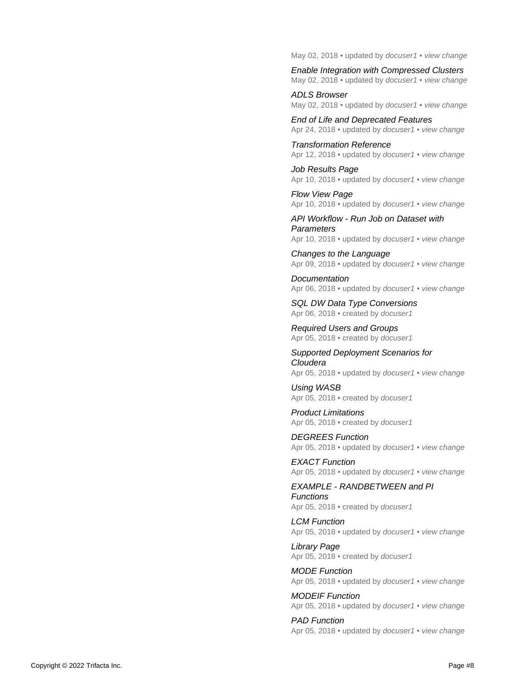May 02, 2018 • updated by [docuser1](https://docs.trifacta.com/display/~solson) • [view change](https://docs.trifacta.com/pages/diffpagesbyversion.action?pageId=110758146&selectedPageVersions=2&selectedPageVersions=1)

[Enable Integration with Compressed Clusters](https://docs.trifacta.com/display/r050/Enable+Integration+with+Compressed+Clusters) May 02, 2018 • updated by [docuser1](https://docs.trifacta.com/display/~solson) • [view change](https://docs.trifacta.com/pages/diffpagesbyversion.action?pageId=110758091&selectedPageVersions=2&selectedPageVersions=1)

[ADLS Browser](https://docs.trifacta.com/display/r050/ADLS+Browser) May 02, 2018 • updated by *[docuser1](https://docs.trifacta.com/display/~solson)* • [view change](https://docs.trifacta.com/pages/diffpagesbyversion.action?pageId=110758617&selectedPageVersions=2&selectedPageVersions=1)

[End of Life and Deprecated Features](https://docs.trifacta.com/display/r050/End+of+Life+and+Deprecated+Features) Apr 24, 2018 • updated by *[docuser1](https://docs.trifacta.com/display/~solson)* • [view change](https://docs.trifacta.com/pages/diffpagesbyversion.action?pageId=110758830&selectedPageVersions=4&selectedPageVersions=3)

[Transformation Reference](https://docs.trifacta.com/display/r050/Transformation+Reference) Apr 12, 2018 • updated by *[docuser1](https://docs.trifacta.com/display/~solson)* • [view change](https://docs.trifacta.com/pages/diffpagesbyversion.action?pageId=110758750&selectedPageVersions=3&selectedPageVersions=2)

[Job Results Page](https://docs.trifacta.com/display/r050/Job+Results+Page) Apr 10, 2018 • updated by [docuser1](https://docs.trifacta.com/display/~solson) • [view change](https://docs.trifacta.com/pages/diffpagesbyversion.action?pageId=110758624&selectedPageVersions=2&selectedPageVersions=1)

[Flow View Page](https://docs.trifacta.com/display/r050/Flow+View+Page) Apr 10, 2018 • updated by *[docuser1](https://docs.trifacta.com/display/~solson)* • [view change](https://docs.trifacta.com/pages/diffpagesbyversion.action?pageId=110758535&selectedPageVersions=2&selectedPageVersions=1)

[API Workflow - Run Job on Dataset with](https://docs.trifacta.com/display/r050/API+Workflow+-+Run+Job+on+Dataset+with+Parameters)  **Parameters** Apr 10, 2018 • updated by [docuser1](https://docs.trifacta.com/display/~solson) • [view change](https://docs.trifacta.com/pages/diffpagesbyversion.action?pageId=110758860&selectedPageVersions=6&selectedPageVersions=5)

[Changes to the Language](https://docs.trifacta.com/display/r050/Changes+to+the+Language) Apr 09, 2018 • updated by [docuser1](https://docs.trifacta.com/display/~solson) • [view change](https://docs.trifacta.com/pages/diffpagesbyversion.action?pageId=110758016&selectedPageVersions=2&selectedPageVersions=1)

**[Documentation](https://docs.trifacta.com/display/r050/Documentation)** Apr 06, 2018 • updated by [docuser1](https://docs.trifacta.com/display/~solson) • [view change](https://docs.trifacta.com/pages/diffpagesbyversion.action?pageId=110758008&selectedPageVersions=2&selectedPageVersions=1)

[SQL DW Data Type Conversions](https://docs.trifacta.com/display/r050/SQL+DW+Data+Type+Conversions) Apr 06, 2018 • created by *[docuser1](https://docs.trifacta.com/display/~solson)* 

[Required Users and Groups](https://docs.trifacta.com/display/r050/Required+Users+and+Groups) Apr 05, 2018 • created by [docuser1](https://docs.trifacta.com/display/~solson)

[Supported Deployment Scenarios for](https://docs.trifacta.com/display/r050/Supported+Deployment+Scenarios+for+Cloudera)  Cloudera Apr 05, 2018 • updated by *[docuser1](https://docs.trifacta.com/display/~solson)* • *[view change](https://docs.trifacta.com/pages/diffpagesbyversion.action?pageId=110758062&selectedPageVersions=3&selectedPageVersions=2)* 

[Using WASB](https://docs.trifacta.com/display/r050/Using+WASB) Apr 05, 2018 • created by [docuser1](https://docs.trifacta.com/display/~solson)

[Product Limitations](https://docs.trifacta.com/display/r050/Product+Limitations) Apr 05, 2018 • created by *[docuser1](https://docs.trifacta.com/display/~solson)* 

[DEGREES Function](https://docs.trifacta.com/display/r050/DEGREES+Function) Apr 05, 2018 • updated by *[docuser1](https://docs.trifacta.com/display/~solson)* • [view change](https://docs.trifacta.com/pages/diffpagesbyversion.action?pageId=110758407&selectedPageVersions=3&selectedPageVersions=2)

[EXACT Function](https://docs.trifacta.com/display/r050/EXACT+Function) Apr 05, 2018 • updated by *[docuser1](https://docs.trifacta.com/display/~solson)* • [view change](https://docs.trifacta.com/pages/diffpagesbyversion.action?pageId=110758449&selectedPageVersions=3&selectedPageVersions=2)

[EXAMPLE - RANDBETWEEN and PI](https://docs.trifacta.com/display/r050/EXAMPLE+-+RANDBETWEEN+and+PI+Functions)  Functions

Apr 05, 2018 • created by [docuser1](https://docs.trifacta.com/display/~solson)

[LCM Function](https://docs.trifacta.com/display/r050/LCM+Function) Apr 05, 2018 • updated by *[docuser1](https://docs.trifacta.com/display/~solson)* • [view change](https://docs.trifacta.com/pages/diffpagesbyversion.action?pageId=110758394&selectedPageVersions=3&selectedPageVersions=2)

[Library Page](https://docs.trifacta.com/display/r050/Library+Page) Apr 05, 2018 • created by *[docuser1](https://docs.trifacta.com/display/~solson)* 

[MODE Function](https://docs.trifacta.com/display/r050/MODE+Function) Apr 05, 2018 • updated by [docuser1](https://docs.trifacta.com/display/~solson) • [view change](https://docs.trifacta.com/pages/diffpagesbyversion.action?pageId=110758361&selectedPageVersions=3&selectedPageVersions=2)

[MODEIF Function](https://docs.trifacta.com/display/r050/MODEIF+Function) Apr 05, 2018 • updated by [docuser1](https://docs.trifacta.com/display/~solson) • [view change](https://docs.trifacta.com/pages/diffpagesbyversion.action?pageId=110758362&selectedPageVersions=3&selectedPageVersions=2)

[PAD Function](https://docs.trifacta.com/display/r050/PAD+Function) Apr 05, 2018 • updated by *[docuser1](https://docs.trifacta.com/display/~solson)* • *[view change](https://docs.trifacta.com/pages/diffpagesbyversion.action?pageId=110758454&selectedPageVersions=3&selectedPageVersions=2)*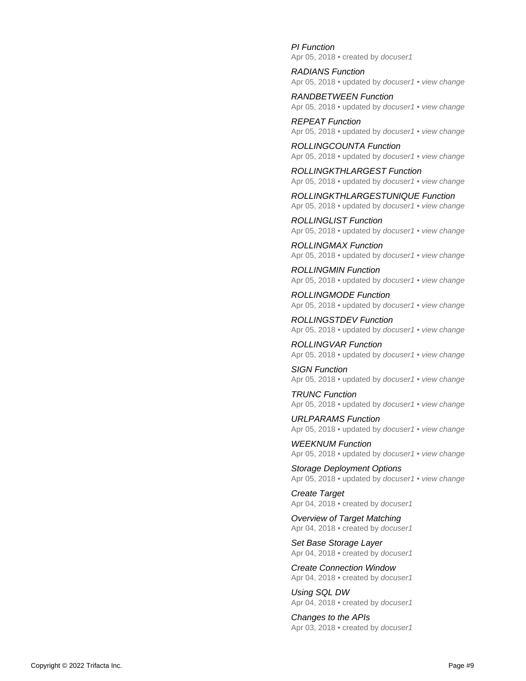[PI Function](https://docs.trifacta.com/display/r050/PI+Function) Apr 05, 2018 • created by [docuser1](https://docs.trifacta.com/display/~solson)

[RADIANS Function](https://docs.trifacta.com/display/r050/RADIANS+Function) Apr 05, 2018 • updated by *[docuser1](https://docs.trifacta.com/display/~solson)* • [view change](https://docs.trifacta.com/pages/diffpagesbyversion.action?pageId=110758406&selectedPageVersions=3&selectedPageVersions=2)

[RANDBETWEEN Function](https://docs.trifacta.com/display/r050/RANDBETWEEN+Function) Apr 05, 2018 • updated by *[docuser1](https://docs.trifacta.com/display/~solson)* • [view change](https://docs.trifacta.com/pages/diffpagesbyversion.action?pageId=110758495&selectedPageVersions=3&selectedPageVersions=2)

[REPEAT Function](https://docs.trifacta.com/display/r050/REPEAT+Function) Apr 05, 2018 • updated by *[docuser1](https://docs.trifacta.com/display/~solson)* • [view change](https://docs.trifacta.com/pages/diffpagesbyversion.action?pageId=110758448&selectedPageVersions=3&selectedPageVersions=2)

[ROLLINGCOUNTA Function](https://docs.trifacta.com/display/r050/ROLLINGCOUNTA+Function) Apr 05, 2018 • updated by [docuser1](https://docs.trifacta.com/display/~solson) • [view change](https://docs.trifacta.com/pages/diffpagesbyversion.action?pageId=110758488&selectedPageVersions=3&selectedPageVersions=2)

[ROLLINGKTHLARGEST Function](https://docs.trifacta.com/display/r050/ROLLINGKTHLARGEST+Function) Apr 05, 2018 • updated by *[docuser1](https://docs.trifacta.com/display/~solson)* • *[view change](https://docs.trifacta.com/pages/diffpagesbyversion.action?pageId=110758490&selectedPageVersions=3&selectedPageVersions=2)* 

[ROLLINGKTHLARGESTUNIQUE Function](https://docs.trifacta.com/display/r050/ROLLINGKTHLARGESTUNIQUE+Function) Apr 05, 2018 • updated by *[docuser1](https://docs.trifacta.com/display/~solson)* • *[view change](https://docs.trifacta.com/pages/diffpagesbyversion.action?pageId=110758491&selectedPageVersions=3&selectedPageVersions=2)* 

[ROLLINGLIST Function](https://docs.trifacta.com/display/r050/ROLLINGLIST+Function) Apr 05, 2018 • updated by [docuser1](https://docs.trifacta.com/display/~solson) • [view change](https://docs.trifacta.com/pages/diffpagesbyversion.action?pageId=110758489&selectedPageVersions=3&selectedPageVersions=2)

[ROLLINGMAX Function](https://docs.trifacta.com/display/r050/ROLLINGMAX+Function) Apr 05, 2018 • updated by *[docuser1](https://docs.trifacta.com/display/~solson)* • *[view change](https://docs.trifacta.com/pages/diffpagesbyversion.action?pageId=110758480&selectedPageVersions=3&selectedPageVersions=2)* 

[ROLLINGMIN Function](https://docs.trifacta.com/display/r050/ROLLINGMIN+Function) Apr 05, 2018 • updated by *[docuser1](https://docs.trifacta.com/display/~solson)* • [view change](https://docs.trifacta.com/pages/diffpagesbyversion.action?pageId=110758481&selectedPageVersions=3&selectedPageVersions=2)

[ROLLINGMODE Function](https://docs.trifacta.com/display/r050/ROLLINGMODE+Function) Apr 05, 2018 • updated by *[docuser1](https://docs.trifacta.com/display/~solson)* • *[view change](https://docs.trifacta.com/pages/diffpagesbyversion.action?pageId=110758487&selectedPageVersions=3&selectedPageVersions=2)* 

[ROLLINGSTDEV Function](https://docs.trifacta.com/display/r050/ROLLINGSTDEV+Function) Apr 05, 2018 • updated by [docuser1](https://docs.trifacta.com/display/~solson) • [view change](https://docs.trifacta.com/pages/diffpagesbyversion.action?pageId=110758483&selectedPageVersions=3&selectedPageVersions=2)

[ROLLINGVAR Function](https://docs.trifacta.com/display/r050/ROLLINGVAR+Function) Apr 05, 2018 • updated by *[docuser1](https://docs.trifacta.com/display/~solson)* • *[view change](https://docs.trifacta.com/pages/diffpagesbyversion.action?pageId=110758484&selectedPageVersions=3&selectedPageVersions=2)* 

[SIGN Function](https://docs.trifacta.com/display/r050/SIGN+Function) Apr 05, 2018 • updated by *[docuser1](https://docs.trifacta.com/display/~solson)* • [view change](https://docs.trifacta.com/pages/diffpagesbyversion.action?pageId=110758408&selectedPageVersions=3&selectedPageVersions=2)

[TRUNC Function](https://docs.trifacta.com/display/r050/TRUNC+Function) Apr 05, 2018 • updated by *[docuser1](https://docs.trifacta.com/display/~solson)* • [view change](https://docs.trifacta.com/pages/diffpagesbyversion.action?pageId=110758405&selectedPageVersions=3&selectedPageVersions=2)

[URLPARAMS Function](https://docs.trifacta.com/display/r050/URLPARAMS+Function) Apr 05, 2018 • updated by [docuser1](https://docs.trifacta.com/display/~solson) • [view change](https://docs.trifacta.com/pages/diffpagesbyversion.action?pageId=110758507&selectedPageVersions=3&selectedPageVersions=2)

[WEEKNUM Function](https://docs.trifacta.com/display/r050/WEEKNUM+Function) Apr 05, 2018 • updated by [docuser1](https://docs.trifacta.com/display/~solson) • [view change](https://docs.trifacta.com/pages/diffpagesbyversion.action?pageId=110758428&selectedPageVersions=3&selectedPageVersions=2)

[Storage Deployment Options](https://docs.trifacta.com/display/r050/Storage+Deployment+Options) Apr 05, 2018 • updated by *[docuser1](https://docs.trifacta.com/display/~solson)* • [view change](https://docs.trifacta.com/pages/diffpagesbyversion.action?pageId=110758073&selectedPageVersions=3&selectedPageVersions=2)

[Create Target](https://docs.trifacta.com/display/r050/Create+Target) Apr 04, 2018 • created by *[docuser1](https://docs.trifacta.com/display/~solson)* 

[Overview of Target Matching](https://docs.trifacta.com/display/r050/Overview+of+Target+Matching) Apr 04, 2018 • created by [docuser1](https://docs.trifacta.com/display/~solson)

[Set Base Storage Layer](https://docs.trifacta.com/display/r050/Set+Base+Storage+Layer) Apr 04, 2018 • created by [docuser1](https://docs.trifacta.com/display/~solson)

[Create Connection Window](https://docs.trifacta.com/display/r050/Create+Connection+Window) Apr 04, 2018 • created by [docuser1](https://docs.trifacta.com/display/~solson)

[Using SQL DW](https://docs.trifacta.com/display/r050/Using+SQL+DW) Apr 04, 2018 • created by [docuser1](https://docs.trifacta.com/display/~solson)

[Changes to the APIs](https://docs.trifacta.com/display/r050/Changes+to+the+APIs) Apr 03, 2018 • created by [docuser1](https://docs.trifacta.com/display/~solson)